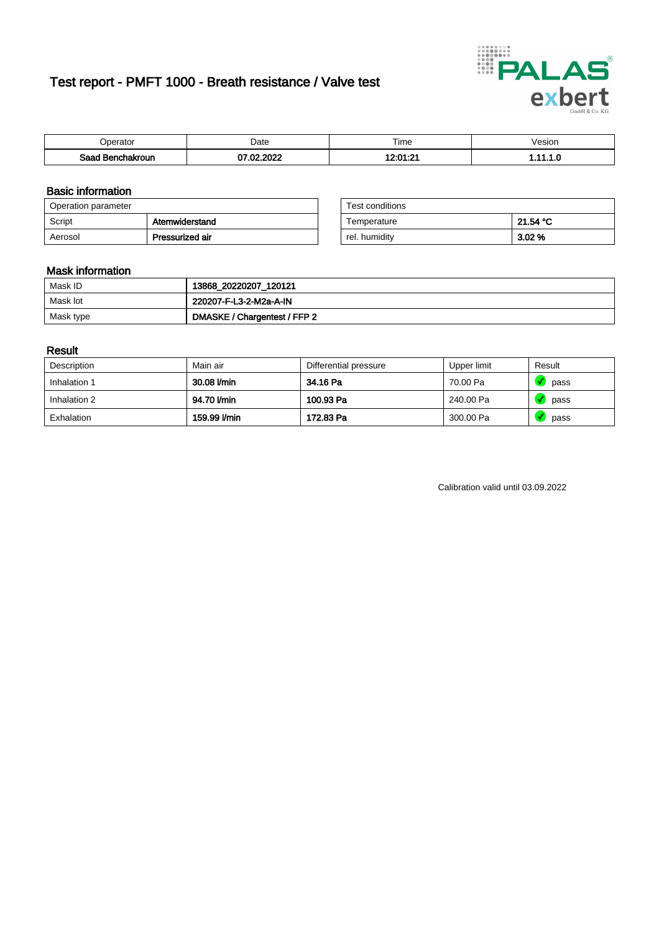# Test report - PMFT 1000 - Breath resistance / Valve test



| )perator               | Date                     | $- \cdot$<br>Fime        | esion |
|------------------------|--------------------------|--------------------------|-------|
| המס<br>hakroun<br>saac | , nnns<br>- CO<br>w<br>u | 10.01.01<br>. . <u>.</u> | .     |

### Basic information

| Operation parameter |                 | Test conditions |          |
|---------------------|-----------------|-----------------|----------|
| Script              | Atemwiderstand  | Temperature     | 21.54 °C |
| Aerosol             | Pressurized air | rel. humiditv   | 3.02%    |

| Test conditions |          |
|-----------------|----------|
| Temperature     | 21.54 °C |
| rel. humidity   | 3.02%    |

### Mask information

| Mask ID   | 13868_20220207_120121        |
|-----------|------------------------------|
| Mask lot  | 220207-F-L3-2-M2a-A-IN       |
| Mask type | DMASKE / Chargentest / FFP 2 |

### Result

| Description  | Main air     | Differential pressure | Upper limit | Result |
|--------------|--------------|-----------------------|-------------|--------|
| Inhalation 1 | 30.08 l/min  | 34.16 Pa              | 70.00 Pa    | pass   |
| Inhalation 2 | 94.70 l/min  | 100.93 Pa             | 240.00 Pa   | pass   |
| Exhalation   | 159.99 I/min | 172.83 Pa             | 300.00 Pa   | pass   |

Calibration valid until 03.09.2022